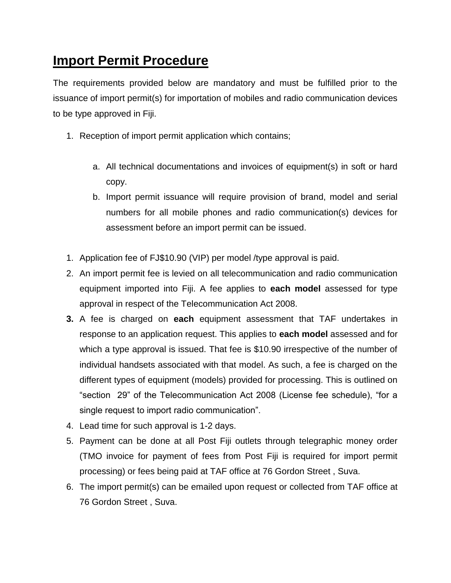## **Import Permit Procedure**

The requirements provided below are mandatory and must be fulfilled prior to the issuance of import permit(s) for importation of mobiles and radio communication devices to be type approved in Fiji.

- 1. Reception of import permit application which contains;
	- a. All technical documentations and invoices of equipment(s) in soft or hard copy.
	- b. Import permit issuance will require provision of brand, model and serial numbers for all mobile phones and radio communication(s) devices for assessment before an import permit can be issued.
- 1. Application fee of FJ\$10.90 (VIP) per model /type approval is paid.
- 2. An import permit fee is levied on all telecommunication and radio communication equipment imported into Fiji. A fee applies to **each model** assessed for type approval in respect of the Telecommunication Act 2008.
- **3.** A fee is charged on **each** equipment assessment that TAF undertakes in response to an application request. This applies to **each model** assessed and for which a type approval is issued. That fee is \$10.90 irrespective of the number of individual handsets associated with that model. As such, a fee is charged on the different types of equipment (models) provided for processing. This is outlined on "section 29" of the Telecommunication Act 2008 (License fee schedule), "for a single request to import radio communication".
- 4. Lead time for such approval is 1-2 days.
- 5. Payment can be done at all Post Fiji outlets through telegraphic money order (TMO invoice for payment of fees from Post Fiji is required for import permit processing) or fees being paid at TAF office at 76 Gordon Street , Suva.
- 6. The import permit(s) can be emailed upon request or collected from TAF office at 76 Gordon Street , Suva.